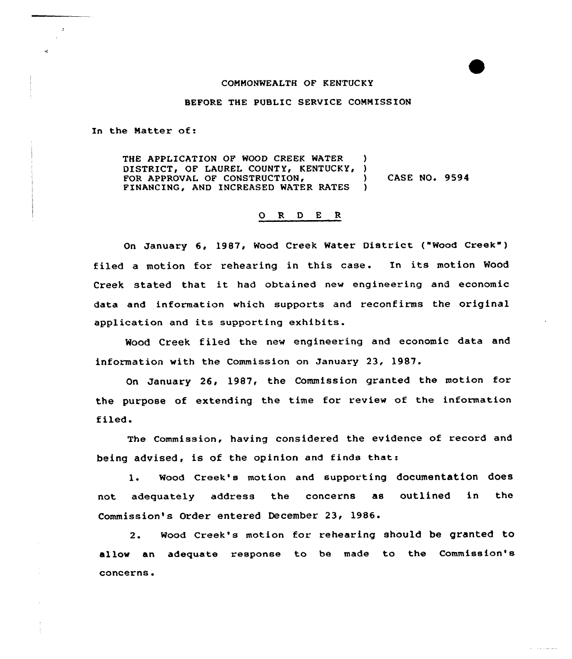## COMMONWEALTH OF KENTUCKY

## BEFORE THE PUBLIC SERVICE COMMISSION

In the Matter of:

THE APPLICATION OF WOOD CREEK WATER ) DISTRICT, OF LAUREL COUNTY, KENTUCKY, )<br>FOR APPROVAL OF CONSTRUCTION. FOR APPROVAL OF CONSTRUCTIONS ) CASE NO. 9594 FINANCING, AND INCREASED WATER RATES

## 0 R <sup>D</sup> E <sup>R</sup>

On January 6, 1987, Wood Creek Water District ("Wood Creek" ) filed a motion for rehearing in this case. In its motion Wood Creek stated that it had obtained new engineering and economic data and information which supports and reconfirms the original application and its supporting exhibits.

Wood Creek filed the new engineering and economic data and information with the Commission on January 23, 1987.

On January 26, 1987, the Commission granted the motion for the purpose of extending the time for review of the information filed.

The Commission, having considered the evidence of record and being advised, is of the opinion and finds thati

1. Wood Creek's motion and supporting documentation does not adequately address the concerns as outlined in the Commission's Order entered December 23, 1986.

2. Wood Creek's motion for rehearing should be granted to allow an adequate response to be made to the Commission's concerns.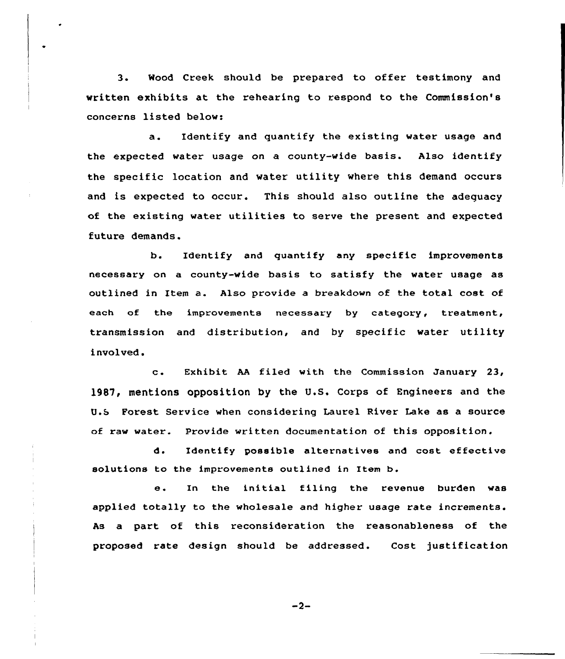3. Mood Creek should be prepared to offer testimony and written exhibits at the rehearing to respond to the Commission's concerns listed below:

a. Identify and quantify the existing water usage and the expected water usage on a county-wide basis. Also identify the specific location and water utility where this demand occurs and is expected to occur. This should also outline the adequacy of the existing water utilities to serve the present and expected future demands.

b. Identify and quantify any specific improvements necessary on a county-wide basis to satisfy the water usage as outlined in Item a. Also provide <sup>a</sup> breakdown cf the total cost of each of the improvements necessary by category, treatment, transmission and distribution, and by specific water utility involved.

c. Exhibit AA filed with the Commission January 23, 1987, mentions opposition by the U.S. Corps of Engineers and the U.b Forest Service when considering Laurel River Lake as a source of raw water. Provide written documentation of this opposition.

d. Identify possible alternatives and cost effective solutions to the improvements outlined in Item b.

e. In the initial filing the revenue burden was applied totally to the wholesale and higher usage rate increments. As a part of this reconsideration the reasonableness of the proposed rate design should be addressed. Cost justification

 $-2-$